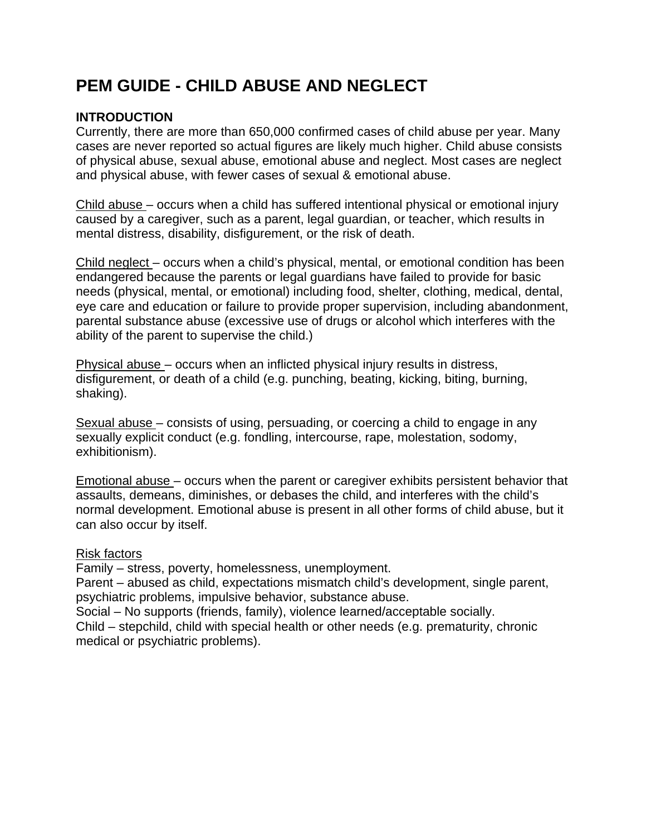# **PEM GUIDE - CHILD ABUSE AND NEGLECT**

## **INTRODUCTION**

Currently, there are more than 650,000 confirmed cases of child abuse per year. Many cases are never reported so actual figures are likely much higher. Child abuse consists of physical abuse, sexual abuse, emotional abuse and neglect. Most cases are neglect and physical abuse, with fewer cases of sexual & emotional abuse.

Child abuse – occurs when a child has suffered intentional physical or emotional injury caused by a caregiver, such as a parent, legal guardian, or teacher, which results in mental distress, disability, disfigurement, or the risk of death.

Child neglect – occurs when a child's physical, mental, or emotional condition has been endangered because the parents or legal guardians have failed to provide for basic needs (physical, mental, or emotional) including food, shelter, clothing, medical, dental, eye care and education or failure to provide proper supervision, including abandonment, parental substance abuse (excessive use of drugs or alcohol which interferes with the ability of the parent to supervise the child.)

Physical abuse – occurs when an inflicted physical injury results in distress, disfigurement, or death of a child (e.g. punching, beating, kicking, biting, burning, shaking).

Sexual abuse – consists of using, persuading, or coercing a child to engage in any sexually explicit conduct (e.g. fondling, intercourse, rape, molestation, sodomy, exhibitionism).

Emotional abuse – occurs when the parent or caregiver exhibits persistent behavior that assaults, demeans, diminishes, or debases the child, and interferes with the child's normal development. Emotional abuse is present in all other forms of child abuse, but it can also occur by itself.

### Risk factors

Family – stress, poverty, homelessness, unemployment.

Parent – abused as child, expectations mismatch child's development, single parent, psychiatric problems, impulsive behavior, substance abuse.

Social – No supports (friends, family), violence learned/acceptable socially.

Child – stepchild, child with special health or other needs (e.g. prematurity, chronic medical or psychiatric problems).